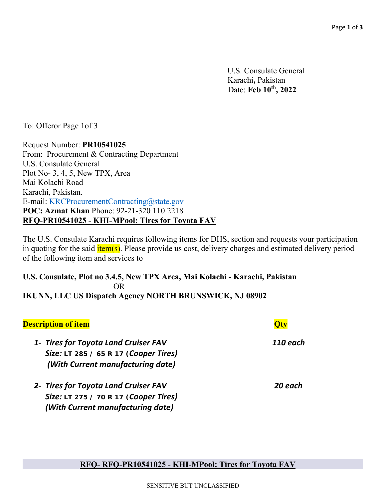U.S. Consulate General Karachi**,** Pakistan Date: **Feb 10th, 2022**

To: Offeror Page 1of 3

Request Number: **PR10541025**  From: Procurement & Contracting Department U.S. Consulate General Plot No- 3, 4, 5, New TPX, Area Mai Kolachi Road Karachi, Pakistan. E-mail: KRCProcurementContracting@state.gov **POC: Azmat Khan** Phone: 92-21-320 110 2218 **RFQ-PR10541025 - KHI-MPool: Tires for Toyota FAV** 

The U.S. Consulate Karachi requires following items for DHS, section and requests your participation in quoting for the said  $\frac{i \text{tem}(s)}{i \text{tem}(s)}$ . Please provide us cost, delivery charges and estimated delivery period of the following item and services to

**U.S. Consulate, Plot no 3.4.5, New TPX Area, Mai Kolachi - Karachi, Pakistan**  OR **IKUNN, LLC US Dispatch Agency NORTH BRUNSWICK, NJ 08902**

| <b>Description of item</b>                                                                                         | Qty      |  |
|--------------------------------------------------------------------------------------------------------------------|----------|--|
| 1- Tires for Toyota Land Cruiser FAV<br>Size: LT 285 / 65 R 17 (Cooper Tires)<br>(With Current manufacturing date) | 110 each |  |
| 2- Tires for Toyota Land Cruiser FAV<br>Size: LT 275 / 70 R 17 (Cooper Tires)<br>(With Current manufacturing date) | 20 each  |  |

 **RFQ- RFQ-PR10541025 - KHI-MPool: Tires for Toyota FAV**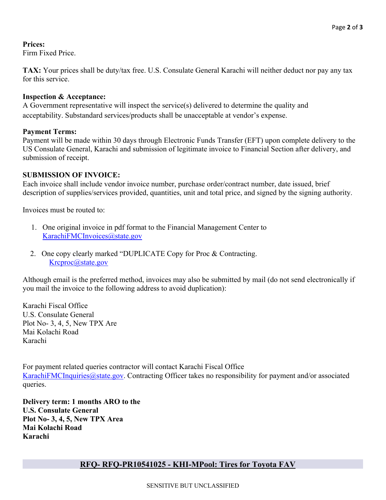**Prices:**  Firm Fixed Price.

**TAX:** Your prices shall be duty/tax free. U.S. Consulate General Karachi will neither deduct nor pay any tax for this service.

#### **Inspection & Acceptance:**

A Government representative will inspect the service(s) delivered to determine the quality and acceptability. Substandard services/products shall be unacceptable at vendor's expense.

## **Payment Terms:**

Payment will be made within 30 days through Electronic Funds Transfer (EFT) upon complete delivery to the US Consulate General, Karachi and submission of legitimate invoice to Financial Section after delivery, and submission of receipt.

## **SUBMISSION OF INVOICE:**

Each invoice shall include vendor invoice number, purchase order/contract number, date issued, brief description of supplies/services provided, quantities, unit and total price, and signed by the signing authority.

Invoices must be routed to:

- 1. One original invoice in pdf format to the Financial Management Center to KarachiFMCInvoices@state.gov
- 2. One copy clearly marked "DUPLICATE Copy for Proc & Contracting. Krcproc@state.gov

Although email is the preferred method, invoices may also be submitted by mail (do not send electronically if you mail the invoice to the following address to avoid duplication):

Karachi Fiscal Office U.S. Consulate General Plot No- 3, 4, 5, New TPX Are Mai Kolachi Road Karachi

For payment related queries contractor will contact Karachi Fiscal Office KarachiFMCInquiries@state.gov. Contracting Officer takes no responsibility for payment and/or associated queries.

**Delivery term: 1 months ARO to the U.S. Consulate General Plot No- 3, 4, 5, New TPX Area Mai Kolachi Road Karachi** 

# **RFQ- RFQ-PR10541025 - KHI-MPool: Tires for Toyota FAV**